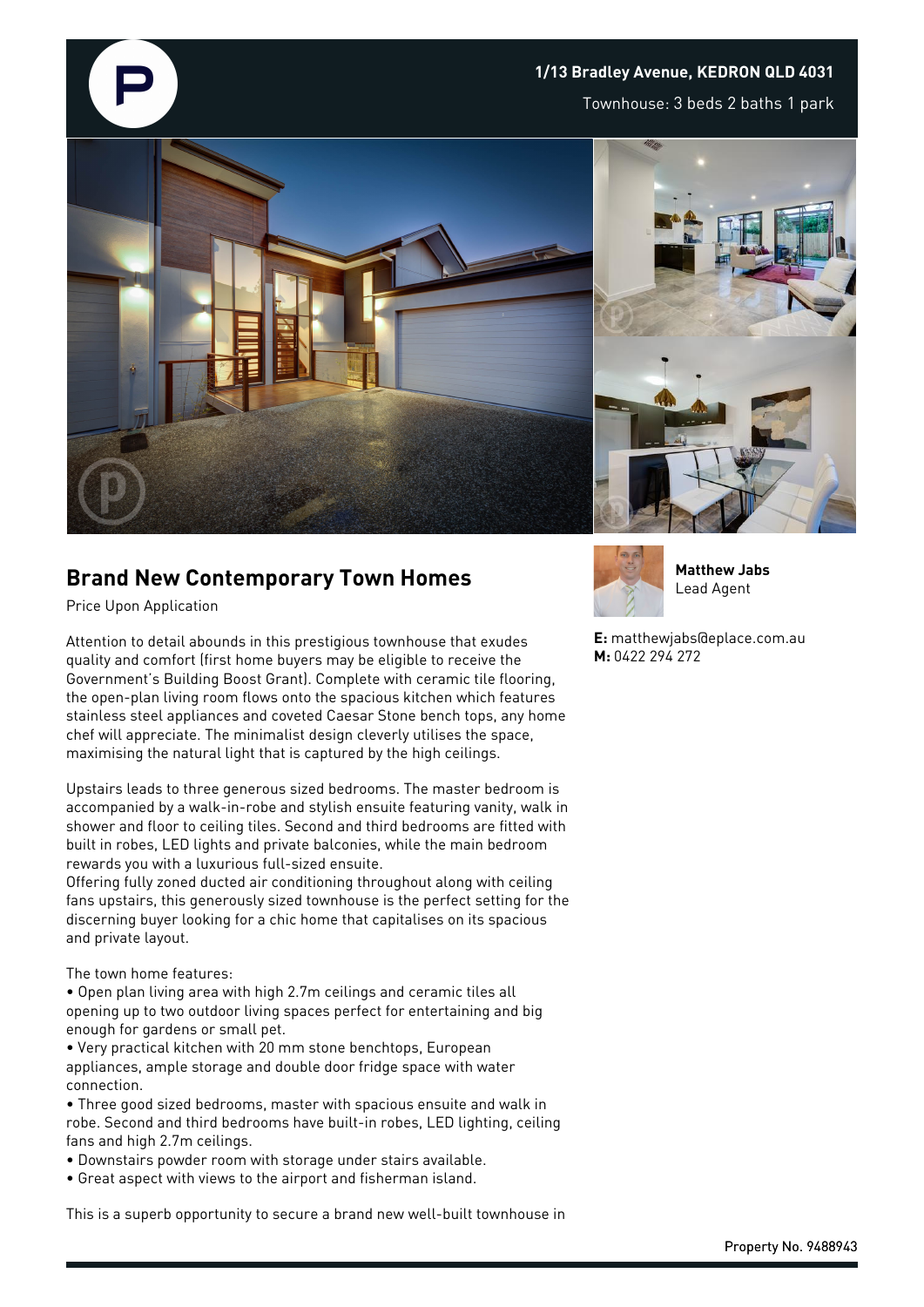

## **1/13 Bradley Avenue, KEDRON QLD 4031**

Townhouse: 3 beds 2 baths 1 park





## **Brand New Contemporary Town Homes**

Price Upon Application

Attention to detail abounds in this prestigious townhouse that exudes quality and comfort (first home buyers may be eligible to receive the Government's Building Boost Grant). Complete with ceramic tile flooring, the open-plan living room flows onto the spacious kitchen which features stainless steel appliances and coveted Caesar Stone bench tops, any home chef will appreciate. The minimalist design cleverly utilises the space, maximising the natural light that is captured by the high ceilings.

Upstairs leads to three generous sized bedrooms. The master bedroom is accompanied by a walk-in-robe and stylish ensuite featuring vanity, walk in shower and floor to ceiling tiles. Second and third bedrooms are fitted with built in robes, LED lights and private balconies, while the main bedroom rewards you with a luxurious full-sized ensuite.

Offering fully zoned ducted air conditioning throughout along with ceiling fans upstairs, this generously sized townhouse is the perfect setting for the discerning buyer looking for a chic home that capitalises on its spacious and private layout.

The town home features:

- Open plan living area with high 2.7m ceilings and ceramic tiles all opening up to two outdoor living spaces perfect for entertaining and big enough for gardens or small pet.
- Very practical kitchen with 20 mm stone benchtops, European appliances, ample storage and double door fridge space with water connection.
- Three good sized bedrooms, master with spacious ensuite and walk in robe. Second and third bedrooms have built-in robes, LED lighting, ceiling fans and high 2.7m ceilings.
- Downstairs powder room with storage under stairs available.
- Great aspect with views to the airport and fisherman island.

This is a superb opportunity to secure a brand new well-built townhouse in



**Matthew Jabs** Lead Agent

**E:** matthewjabs@eplace.com.au **M:** 0422 294 272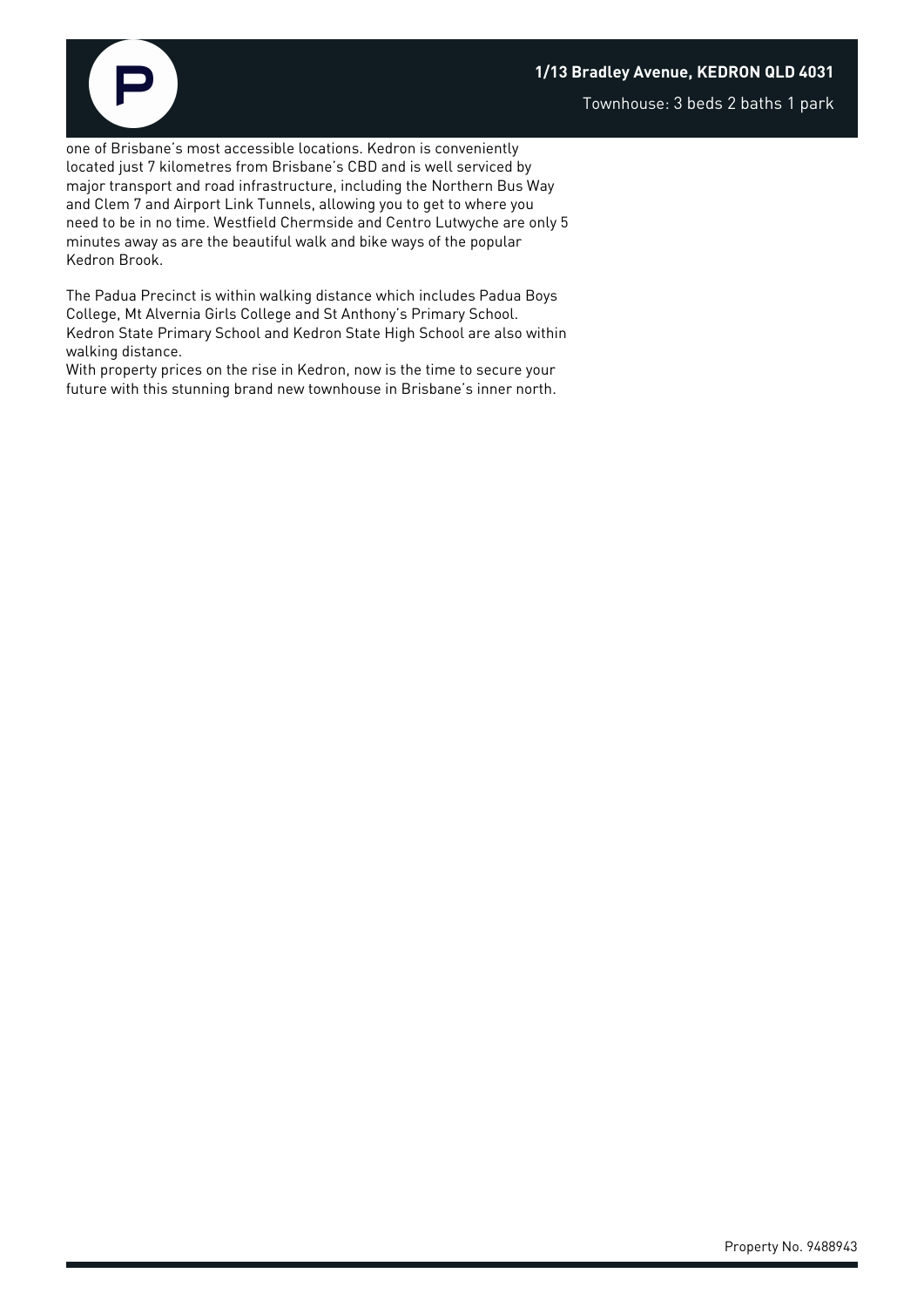## **1/13 Bradley Avenue, KEDRON QLD 4031**

Townhouse: 3 beds 2 baths 1 park

one of Brisbane's most accessible locations. Kedron is conveniently located just 7 kilometres from Brisbane's CBD and is well serviced by major transport and road infrastructure, including the Northern Bus Way and Clem 7 and Airport Link Tunnels, allowing you to get to where you need to be in no time. Westfield Chermside and Centro Lutwyche are only 5 minutes away as are the beautiful walk and bike ways of the popular Kedron Brook.

The Padua Precinct is within walking distance which includes Padua Boys College, Mt Alvernia Girls College and St Anthony's Primary School. Kedron State Primary School and Kedron State High School are also within walking distance.

With property prices on the rise in Kedron, now is the time to secure your future with this stunning brand new townhouse in Brisbane's inner north.